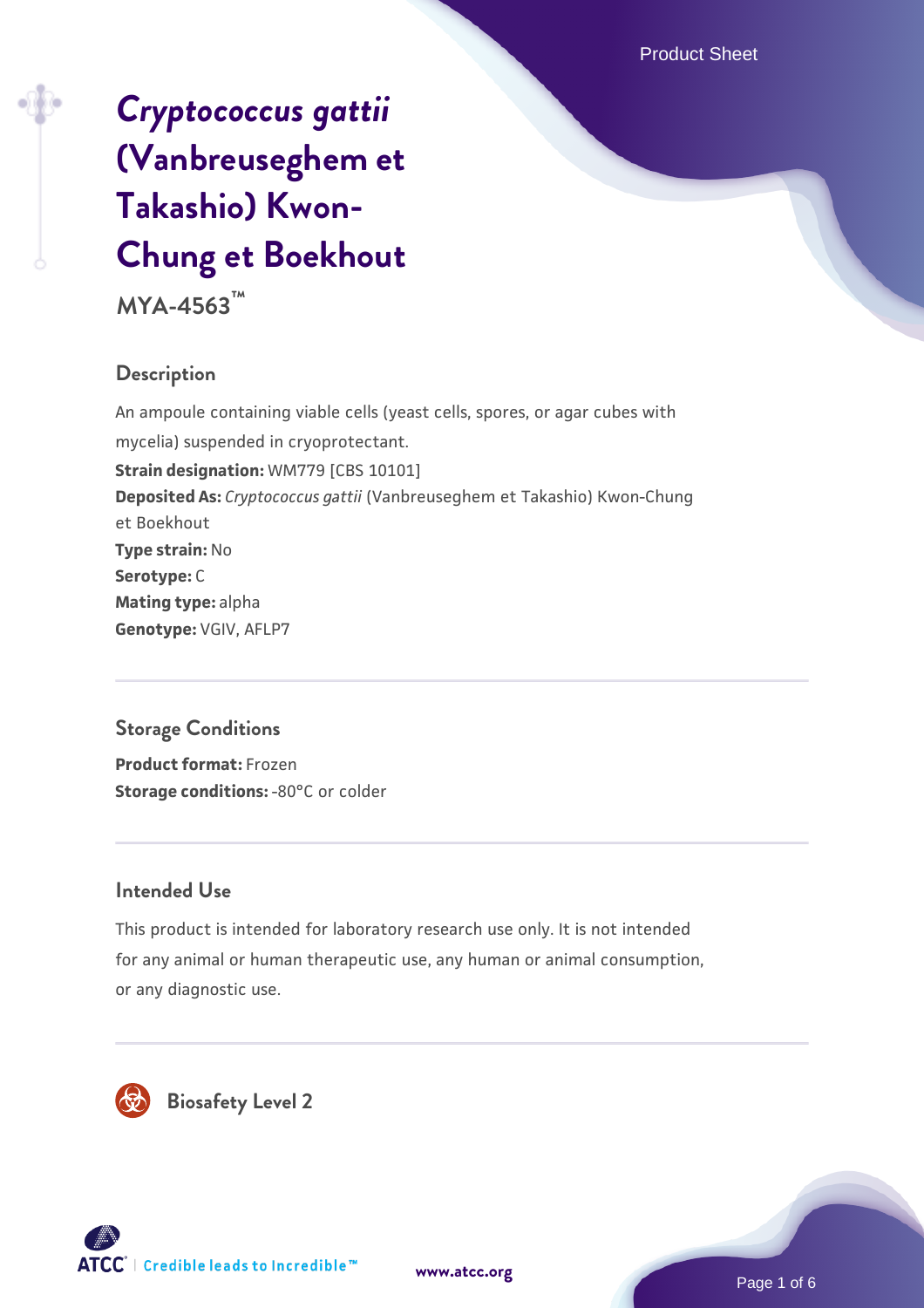# *[Cryptococcus gattii](https://www.atcc.org/products/mya-4563)* **[\(Vanbreuseghem et](https://www.atcc.org/products/mya-4563) [Takashio\) Kwon-](https://www.atcc.org/products/mya-4563)[Chung et Boekhout](https://www.atcc.org/products/mya-4563)**

**MYA-4563™**

## **Description**

An ampoule containing viable cells (yeast cells, spores, or agar cubes with mycelia) suspended in cryoprotectant. **Strain designation:** WM779 [CBS 10101] **Deposited As:** *Cryptococcus gattii* (Vanbreuseghem et Takashio) Kwon-Chung et Boekhout **Type strain:** No **Serotype:** C **Mating type:** alpha **Genotype:** VGIV, AFLP7

## **Storage Conditions**

**Product format:** Frozen **Storage conditions: -80°C or colder** 

## **Intended Use**

This product is intended for laboratory research use only. It is not intended for any animal or human therapeutic use, any human or animal consumption, or any diagnostic use.





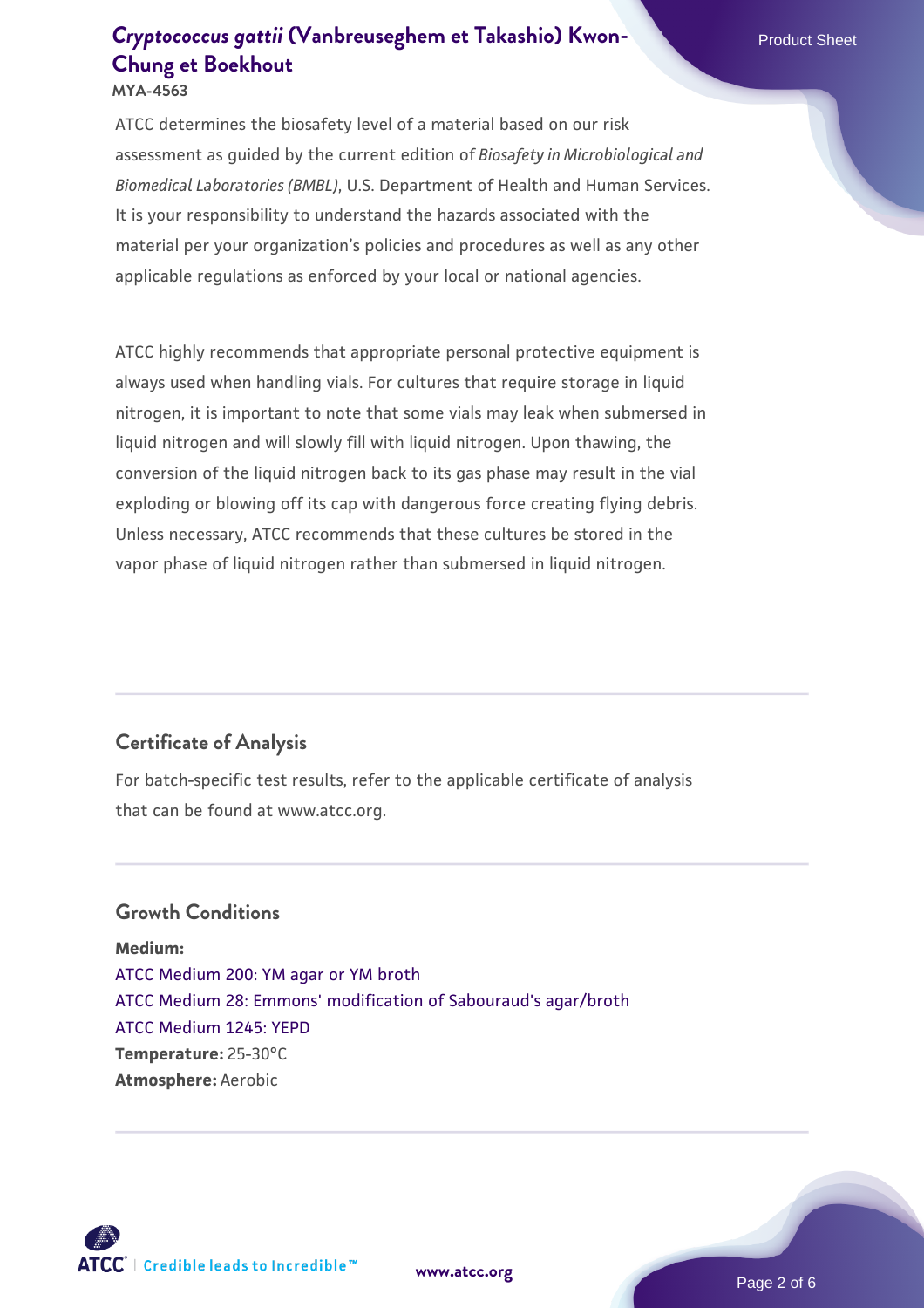ATCC determines the biosafety level of a material based on our risk assessment as guided by the current edition of *Biosafety in Microbiological and Biomedical Laboratories (BMBL)*, U.S. Department of Health and Human Services. It is your responsibility to understand the hazards associated with the material per your organization's policies and procedures as well as any other applicable regulations as enforced by your local or national agencies.

ATCC highly recommends that appropriate personal protective equipment is always used when handling vials. For cultures that require storage in liquid nitrogen, it is important to note that some vials may leak when submersed in liquid nitrogen and will slowly fill with liquid nitrogen. Upon thawing, the conversion of the liquid nitrogen back to its gas phase may result in the vial exploding or blowing off its cap with dangerous force creating flying debris. Unless necessary, ATCC recommends that these cultures be stored in the vapor phase of liquid nitrogen rather than submersed in liquid nitrogen.

## **Certificate of Analysis**

For batch-specific test results, refer to the applicable certificate of analysis that can be found at www.atcc.org.

## **Growth Conditions**

**Medium:**  [ATCC Medium 200: YM agar or YM broth](https://www.atcc.org/-/media/product-assets/documents/microbial-media-formulations/2/0/0/atcc-medium-200.pdf?rev=ac40fd74dc13433a809367b0b9da30fc) [ATCC Medium 28: Emmons' modification of Sabouraud's agar/broth](https://www.atcc.org/-/media/product-assets/documents/microbial-media-formulations/2/8/atcc-medium-28.pdf?rev=0da0c58cc2a343eeae735016b70809bb) [ATCC Medium 1245: YEPD](https://www.atcc.org/-/media/product-assets/documents/microbial-media-formulations/1/2/4/5/atcc-medium-1245.pdf?rev=705ca55d1b6f490a808a965d5c072196) **Temperature:** 25-30°C **Atmosphere:** Aerobic



**[www.atcc.org](http://www.atcc.org)**

Page 2 of 6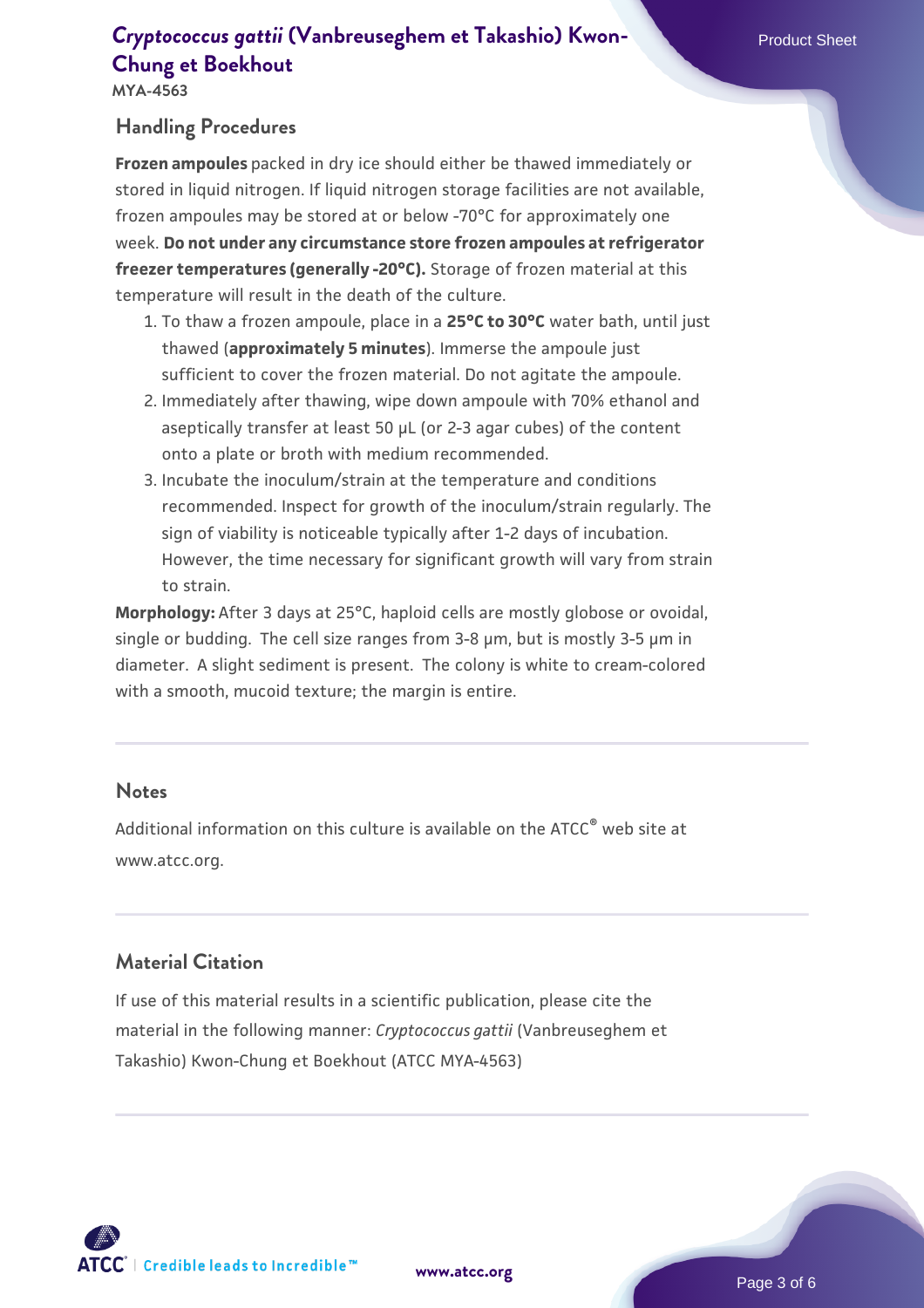## **[Cryptococcus gattii](https://www.atcc.org/products/mya-4563)** [\(Vanbreuseghem et Takashio\) Kwon-](https://www.atcc.org/products/mya-4563) Product Sheet **[Chung et Boekhout](https://www.atcc.org/products/mya-4563)**

**MYA-4563**

## **Handling Procedures**

**Frozen ampoules** packed in dry ice should either be thawed immediately or stored in liquid nitrogen. If liquid nitrogen storage facilities are not available, frozen ampoules may be stored at or below -70°C for approximately one week. **Do not under any circumstance store frozen ampoules at refrigerator freezer temperatures (generally -20°C).** Storage of frozen material at this temperature will result in the death of the culture.

- 1. To thaw a frozen ampoule, place in a **25°C to 30°C** water bath, until just thawed (**approximately 5 minutes**). Immerse the ampoule just sufficient to cover the frozen material. Do not agitate the ampoule.
- 2. Immediately after thawing, wipe down ampoule with 70% ethanol and aseptically transfer at least 50 µL (or 2-3 agar cubes) of the content onto a plate or broth with medium recommended.
- 3. Incubate the inoculum/strain at the temperature and conditions recommended. Inspect for growth of the inoculum/strain regularly. The sign of viability is noticeable typically after 1-2 days of incubation. However, the time necessary for significant growth will vary from strain to strain.

**Morphology:** After 3 days at 25°C, haploid cells are mostly globose or ovoidal, single or budding. The cell size ranges from 3-8 µm, but is mostly 3-5 µm in diameter. A slight sediment is present. The colony is white to cream-colored with a smooth, mucoid texture; the margin is entire.

#### **Notes**

Additional information on this culture is available on the ATCC® web site at www.atcc.org.

## **Material Citation**

If use of this material results in a scientific publication, please cite the material in the following manner: *Cryptococcus gattii* (Vanbreuseghem et Takashio) Kwon-Chung et Boekhout (ATCC MYA-4563)

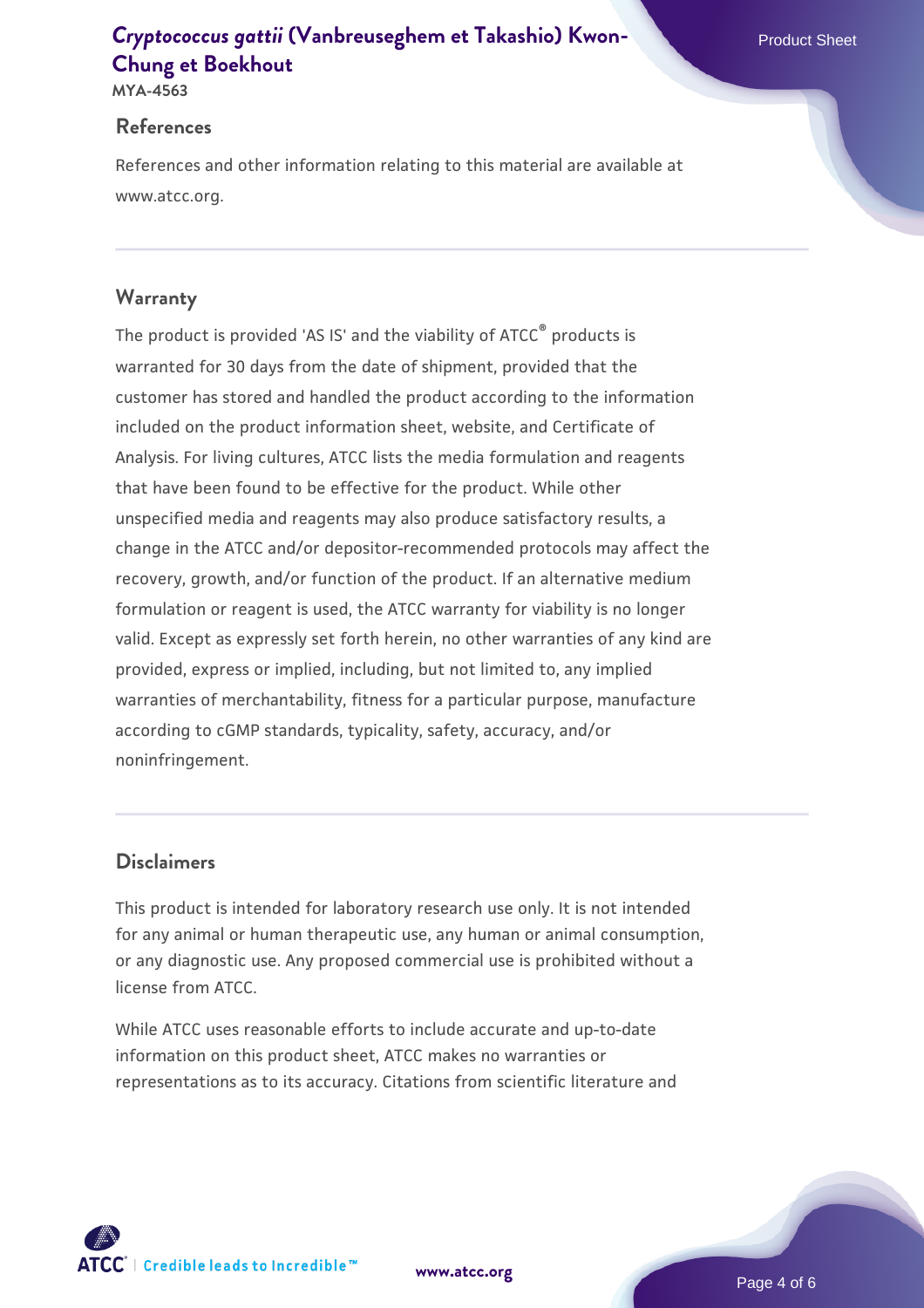## **[Cryptococcus gattii](https://www.atcc.org/products/mya-4563)** [\(Vanbreuseghem et Takashio\) Kwon-](https://www.atcc.org/products/mya-4563) **[Chung et Boekhout](https://www.atcc.org/products/mya-4563)**

**MYA-4563**

#### **References**

References and other information relating to this material are available at www.atcc.org.

## **Warranty**

The product is provided 'AS IS' and the viability of ATCC® products is warranted for 30 days from the date of shipment, provided that the customer has stored and handled the product according to the information included on the product information sheet, website, and Certificate of Analysis. For living cultures, ATCC lists the media formulation and reagents that have been found to be effective for the product. While other unspecified media and reagents may also produce satisfactory results, a change in the ATCC and/or depositor-recommended protocols may affect the recovery, growth, and/or function of the product. If an alternative medium formulation or reagent is used, the ATCC warranty for viability is no longer valid. Except as expressly set forth herein, no other warranties of any kind are provided, express or implied, including, but not limited to, any implied warranties of merchantability, fitness for a particular purpose, manufacture according to cGMP standards, typicality, safety, accuracy, and/or noninfringement.

## **Disclaimers**

This product is intended for laboratory research use only. It is not intended for any animal or human therapeutic use, any human or animal consumption, or any diagnostic use. Any proposed commercial use is prohibited without a license from ATCC.

While ATCC uses reasonable efforts to include accurate and up-to-date information on this product sheet, ATCC makes no warranties or representations as to its accuracy. Citations from scientific literature and

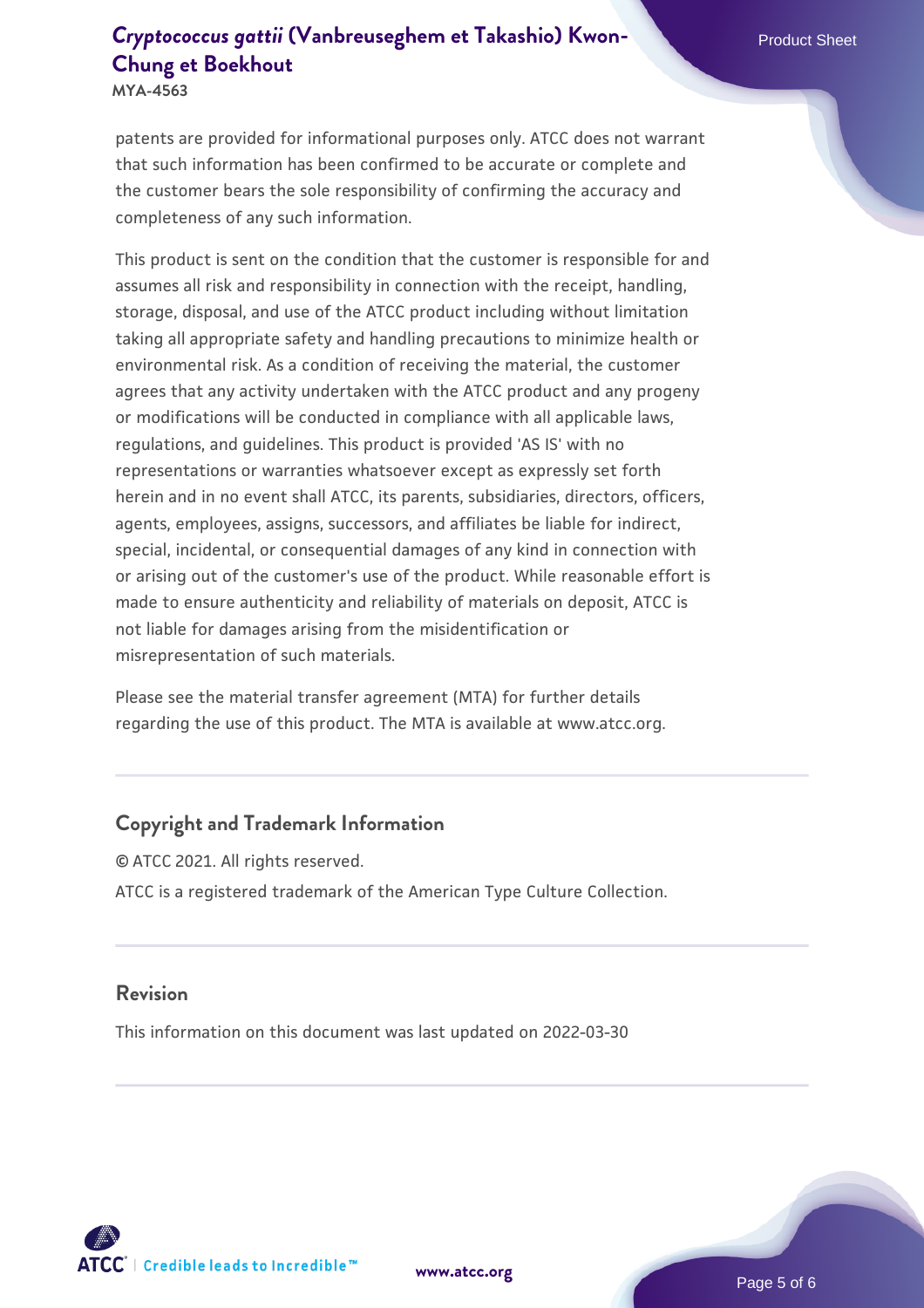## **[Cryptococcus gattii](https://www.atcc.org/products/mya-4563)** [\(Vanbreuseghem et Takashio\) Kwon-](https://www.atcc.org/products/mya-4563) **[Chung et Boekhout](https://www.atcc.org/products/mya-4563)**

**MYA-4563**

patents are provided for informational purposes only. ATCC does not warrant that such information has been confirmed to be accurate or complete and the customer bears the sole responsibility of confirming the accuracy and completeness of any such information.

This product is sent on the condition that the customer is responsible for and assumes all risk and responsibility in connection with the receipt, handling, storage, disposal, and use of the ATCC product including without limitation taking all appropriate safety and handling precautions to minimize health or environmental risk. As a condition of receiving the material, the customer agrees that any activity undertaken with the ATCC product and any progeny or modifications will be conducted in compliance with all applicable laws, regulations, and guidelines. This product is provided 'AS IS' with no representations or warranties whatsoever except as expressly set forth herein and in no event shall ATCC, its parents, subsidiaries, directors, officers, agents, employees, assigns, successors, and affiliates be liable for indirect, special, incidental, or consequential damages of any kind in connection with or arising out of the customer's use of the product. While reasonable effort is made to ensure authenticity and reliability of materials on deposit, ATCC is not liable for damages arising from the misidentification or misrepresentation of such materials.

Please see the material transfer agreement (MTA) for further details regarding the use of this product. The MTA is available at www.atcc.org.

#### **Copyright and Trademark Information**

© ATCC 2021. All rights reserved. ATCC is a registered trademark of the American Type Culture Collection.

#### **Revision**

This information on this document was last updated on 2022-03-30



**[www.atcc.org](http://www.atcc.org)**